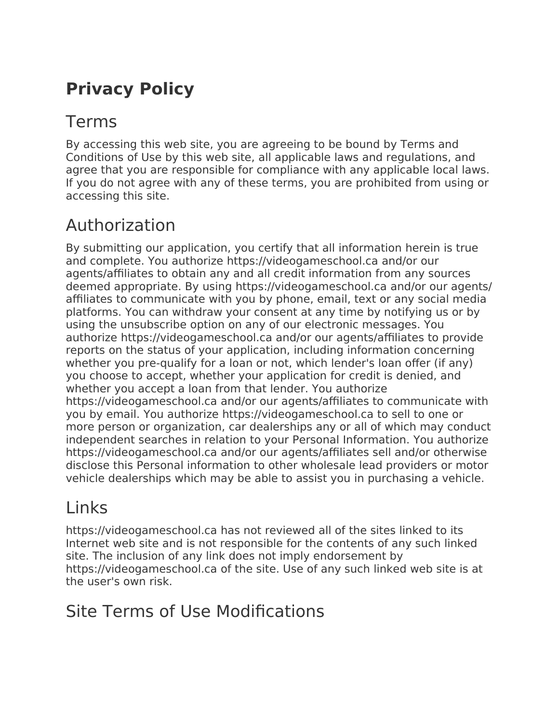# **Privacy Policy**

### Terms

By accessing this web site, you are agreeing to be bound by Terms and Conditions of Use by this web site, all applicable laws and regulations, and agree that you are responsible for compliance with any applicable local laws. If you do not agree with any of these terms, you are prohibited from using or accessing this site.

### Authorization

By submitting our application, you certify that all information herein is true and complete. You authorize https://videogameschool.ca and/or our agents/affiliates to obtain any and all credit information from any sources deemed appropriate. By using https://videogameschool.ca and/or our agents/ affiliates to communicate with you by phone, email, text or any social media platforms. You can withdraw your consent at any time by notifying us or by using the unsubscribe option on any of our electronic messages. You authorize https://videogameschool.ca and/or our agents/affiliates to provide reports on the status of your application, including information concerning whether you pre-qualify for a loan or not, which lender's loan offer (if any) you choose to accept, whether your application for credit is denied, and whether you accept a loan from that lender. You authorize https://videogameschool.ca and/or our agents/affiliates to communicate with you by email. You authorize https://videogameschool.ca to sell to one or more person or organization, car dealerships any or all of which may conduct independent searches in relation to your Personal Information. You authorize https://videogameschool.ca and/or our agents/affiliates sell and/or otherwise disclose this Personal information to other wholesale lead providers or motor vehicle dealerships which may be able to assist you in purchasing a vehicle.

# Links

https://videogameschool.ca has not reviewed all of the sites linked to its Internet web site and is not responsible for the contents of any such linked site. The inclusion of any link does not imply endorsement by https://videogameschool.ca of the site. Use of any such linked web site is at the user's own risk.

#### Site Terms of Use Modifications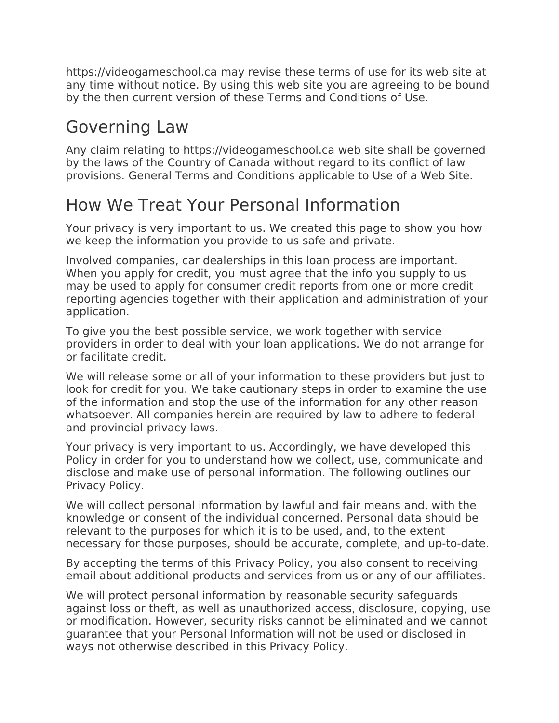https://videogameschool.ca may revise these terms of use for its web site at any time without notice. By using this web site you are agreeing to be bound by the then current version of these Terms and Conditions of Use.

#### Governing Law

Any claim relating to https://videogameschool.ca web site shall be governed by the laws of the Country of Canada without regard to its conflict of law provisions. General Terms and Conditions applicable to Use of a Web Site.

#### How We Treat Your Personal Information

Your privacy is very important to us. We created this page to show you how we keep the information you provide to us safe and private.

Involved companies, car dealerships in this loan process are important. When you apply for credit, you must agree that the info you supply to us may be used to apply for consumer credit reports from one or more credit reporting agencies together with their application and administration of your application.

To give you the best possible service, we work together with service providers in order to deal with your loan applications. We do not arrange for or facilitate credit.

We will release some or all of your information to these providers but just to look for credit for you. We take cautionary steps in order to examine the use of the information and stop the use of the information for any other reason whatsoever. All companies herein are required by law to adhere to federal and provincial privacy laws.

Your privacy is very important to us. Accordingly, we have developed this Policy in order for you to understand how we collect, use, communicate and disclose and make use of personal information. The following outlines our Privacy Policy.

We will collect personal information by lawful and fair means and, with the knowledge or consent of the individual concerned. Personal data should be relevant to the purposes for which it is to be used, and, to the extent necessary for those purposes, should be accurate, complete, and up-to-date.

By accepting the terms of this Privacy Policy, you also consent to receiving email about additional products and services from us or any of our affiliates.

We will protect personal information by reasonable security safeguards against loss or theft, as well as unauthorized access, disclosure, copying, use or modification. However, security risks cannot be eliminated and we cannot guarantee that your Personal Information will not be used or disclosed in ways not otherwise described in this Privacy Policy.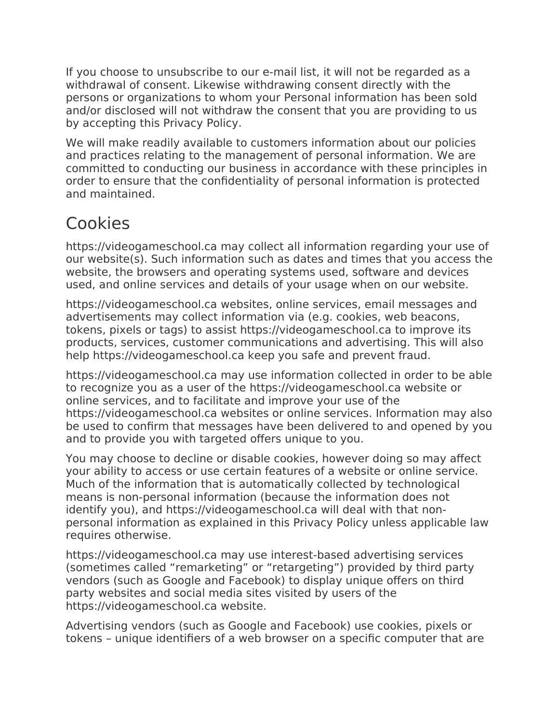If you choose to unsubscribe to our e-mail list, it will not be regarded as a withdrawal of consent. Likewise withdrawing consent directly with the persons or organizations to whom your Personal information has been sold and/or disclosed will not withdraw the consent that you are providing to us by accepting this Privacy Policy.

We will make readily available to customers information about our policies and practices relating to the management of personal information. We are committed to conducting our business in accordance with these principles in order to ensure that the confidentiality of personal information is protected and maintained.

# Cookies

https://videogameschool.ca may collect all information regarding your use of our website(s). Such information such as dates and times that you access the website, the browsers and operating systems used, software and devices used, and online services and details of your usage when on our website.

https://videogameschool.ca websites, online services, email messages and advertisements may collect information via (e.g. cookies, web beacons, tokens, pixels or tags) to assist https://videogameschool.ca to improve its products, services, customer communications and advertising. This will also help https://videogameschool.ca keep you safe and prevent fraud.

https://videogameschool.ca may use information collected in order to be able to recognize you as a user of the https://videogameschool.ca website or online services, and to facilitate and improve your use of the https://videogameschool.ca websites or online services. Information may also be used to confirm that messages have been delivered to and opened by you and to provide you with targeted offers unique to you.

You may choose to decline or disable cookies, however doing so may affect your ability to access or use certain features of a website or online service. Much of the information that is automatically collected by technological means is non-personal information (because the information does not identify you), and https://videogameschool.ca will deal with that nonpersonal information as explained in this Privacy Policy unless applicable law requires otherwise.

https://videogameschool.ca may use interest-based advertising services (sometimes called "remarketing" or "retargeting") provided by third party vendors (such as Google and Facebook) to display unique offers on third party websites and social media sites visited by users of the https://videogameschool.ca website.

Advertising vendors (such as Google and Facebook) use cookies, pixels or tokens – unique identifiers of a web browser on a specific computer that are